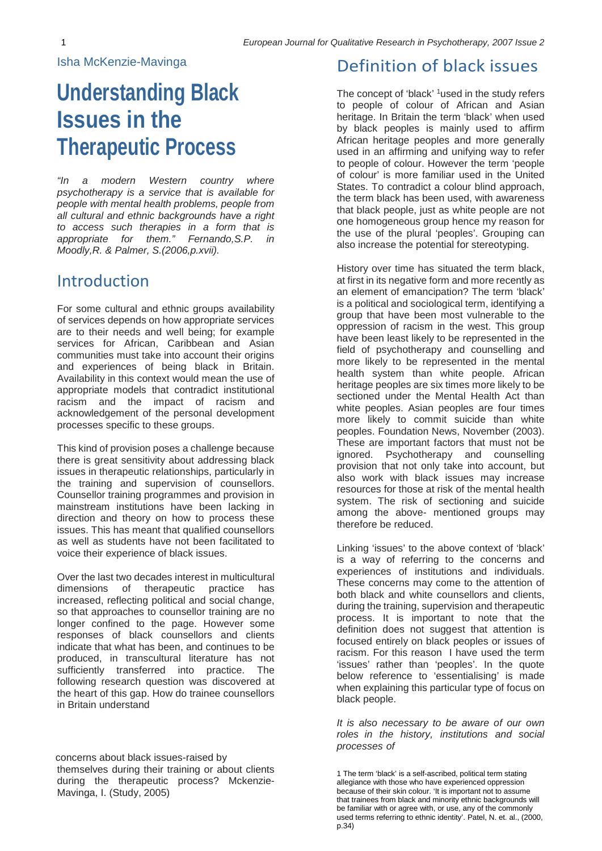## Isha McKenzie-Mavinga

# **Understanding Black Issues in the Therapeutic Process**

*"In a modern Western country where psychotherapy is a service that is available for people with mental health problems, people from all cultural and ethnic backgrounds have a right to access such therapies in a form that is appropriate for them." Fernando,S.P. in Moodly,R. & Palmer, S.(2006,p.xvii).*

# Introduction

For some cultural and ethnic groups availability of services depends on how appropriate services are to their needs and well being; for example services for African, Caribbean and Asian communities must take into account their origins and experiences of being black in Britain. Availability in this context would mean the use of appropriate models that contradict institutional racism and the impact of racism and acknowledgement of the personal development processes specific to these groups.

This kind of provision poses a challenge because there is great sensitivity about addressing black issues in therapeutic relationships, particularly in the training and supervision of counsellors. Counsellor training programmes and provision in mainstream institutions have been lacking in direction and theory on how to process these issues. This has meant that qualified counsellors as well as students have not been facilitated to voice their experience of black issues.

Over the last two decades interest in multicultural dimensions of therapeutic practice has increased, reflecting political and social change, so that approaches to counsellor training are no longer confined to the page. However some responses of black counsellors and clients indicate that what has been, and continues to be produced, in transcultural literature has not sufficiently transferred into practice. The following research question was discovered at the heart of this gap. How do trainee counsellors in Britain understand

## Definition of black issues

The concept of 'black' <sup>1</sup>used in the study refers to people of colour of African and Asian heritage. In Britain the term 'black' when used by black peoples is mainly used to affirm African heritage peoples and more generally used in an affirming and unifying way to refer to people of colour. However the term 'people of colour' is more familiar used in the United States. To contradict a colour blind approach, the term black has been used, with awareness that black people, just as white people are not one homogeneous group hence my reason for the use of the plural 'peoples'. Grouping can also increase the potential for stereotyping.

History over time has situated the term black, at first in its negative form and more recently as an element of emancipation? The term 'black' is a political and sociological term, identifying a group that have been most vulnerable to the oppression of racism in the west. This group have been least likely to be represented in the field of psychotherapy and counselling and more likely to be represented in the mental health system than white people. African heritage peoples are six times more likely to be sectioned under the Mental Health Act than white peoples. Asian peoples are four times more likely to commit suicide than white peoples. Foundation News, November (2003). These are important factors that must not be ignored. Psychotherapy and counselling provision that not only take into account, but also work with black issues may increase resources for those at risk of the mental health system. The risk of sectioning and suicide among the above- mentioned groups may therefore be reduced.

Linking 'issues' to the above context of 'black' is a way of referring to the concerns and experiences of institutions and individuals. These concerns may come to the attention of both black and white counsellors and clients, during the training, supervision and therapeutic process. It is important to note that the definition does not suggest that attention is focused entirely on black peoples or issues of racism. For this reason I have used the term 'issues' rather than 'peoples'. In the quote below reference to 'essentialising' is made when explaining this particular type of focus on black people.

*It is also necessary to be aware of our own roles in the history, institutions and social processes of*

concerns about black issues-raised by themselves during their training or about clients during the therapeutic process? Mckenzie-Mavinga, I. (Study, 2005)

<sup>1</sup> The term 'black' is a self-ascribed, political term stating allegiance with those who have experienced oppression because of their skin colour. 'It is important not to assume that trainees from black and minority ethnic backgrounds will be familiar with or agree with, or use, any of the commonly used terms referring to ethnic identity'. Patel, N. et. al., (2000, p.34)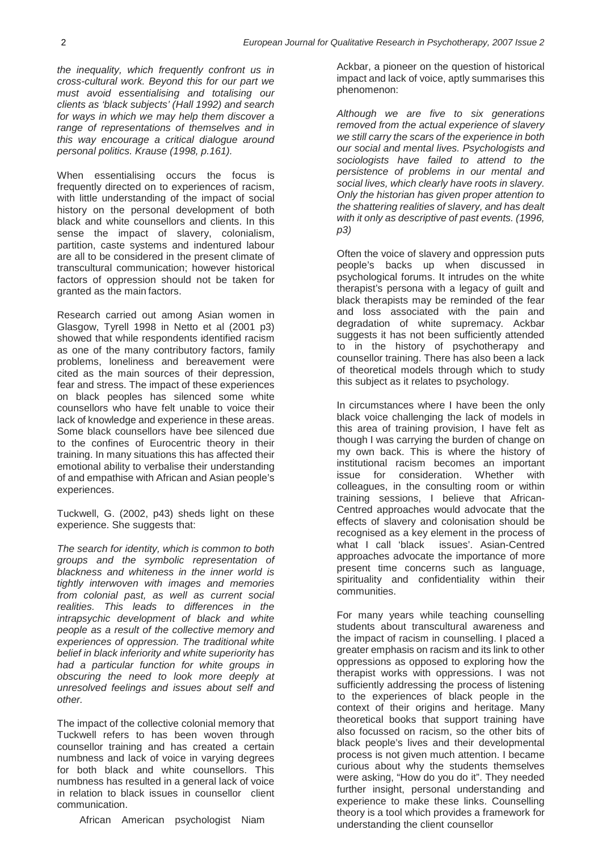*the inequality, which frequently confront us in cross-cultural work. Beyond this for our part we must avoid essentialising and totalising our clients as 'black subjects' (Hall 1992) and search for ways in which we may help them discover a range of representations of themselves and in this way encourage a critical dialogue around personal politics. Krause (1998, p.161).*

When essentialising occurs the focus is frequently directed on to experiences of racism, with little understanding of the impact of social history on the personal development of both black and white counsellors and clients. In this sense the impact of slavery, colonialism, partition, caste systems and indentured labour are all to be considered in the present climate of transcultural communication; however historical factors of oppression should not be taken for granted as the main factors.

Research carried out among Asian women in Glasgow, Tyrell 1998 in Netto et al (2001 p3) showed that while respondents identified racism as one of the many contributory factors, family problems, loneliness and bereavement were cited as the main sources of their depression, fear and stress. The impact of these experiences on black peoples has silenced some white counsellors who have felt unable to voice their lack of knowledge and experience in these areas. Some black counsellors have bee silenced due to the confines of Eurocentric theory in their training. In many situations this has affected their emotional ability to verbalise their understanding of and empathise with African and Asian people's experiences.

Tuckwell, G. (2002, p43) sheds light on these experience. She suggests that:

*The search for identity, which is common to both groups and the symbolic representation of blackness and whiteness in the inner world is tightly interwoven with images and memories from colonial past, as well as current social realities. This leads to differences in the intrapsychic development of black and white people as a result of the collective memory and experiences of oppression. The traditional white belief in black inferiority and white superiority has had a particular function for white groups in obscuring the need to look more deeply at unresolved feelings and issues about self and other.*

The impact of the collective colonial memory that Tuckwell refers to has been woven through counsellor training and has created a certain numbness and lack of voice in varying degrees for both black and white counsellors. This numbness has resulted in a general lack of voice in relation to black issues in counsellor client communication.

African American psychologist Niam

Ackbar, a pioneer on the question of historical impact and lack of voice, aptly summarises this phenomenon:

*Although we are five to six generations removed from the actual experience of slavery we still carry the scars of the experience in both our social and mental lives. Psychologists and sociologists have failed to attend to the persistence of problems in our mental and social lives, which clearly have roots in slavery. Only the historian has given proper attention to the shattering realities of slavery, and has dealt with it only as descriptive of past events. (1996, p3)*

Often the voice of slavery and oppression puts people's backs up when discussed in psychological forums. It intrudes on the white therapist's persona with a legacy of guilt and black therapists may be reminded of the fear and loss associated with the pain and degradation of white supremacy. Ackbar suggests it has not been sufficiently attended to in the history of psychotherapy and counsellor training. There has also been a lack of theoretical models through which to study this subject as it relates to psychology.

In circumstances where I have been the only black voice challenging the lack of models in this area of training provision, I have felt as though I was carrying the burden of change on my own back. This is where the history of institutional racism becomes an important issue for consideration. Whether with colleagues, in the consulting room or within training sessions, I believe that African-Centred approaches would advocate that the effects of slavery and colonisation should be recognised as a key element in the process of what I call 'black issues'. Asian-Centred approaches advocate the importance of more present time concerns such as language, spirituality and confidentiality within their communities.

For many years while teaching counselling students about transcultural awareness and the impact of racism in counselling. I placed a greater emphasis on racism and its link to other oppressions as opposed to exploring how the therapist works with oppressions. I was not sufficiently addressing the process of listening to the experiences of black people in the context of their origins and heritage. Many theoretical books that support training have also focussed on racism, so the other bits of black people's lives and their developmental process is not given much attention. I became curious about why the students themselves were asking, "How do you do it". They needed further insight, personal understanding and experience to make these links. Counselling theory is a tool which provides a framework for understanding the client counsellor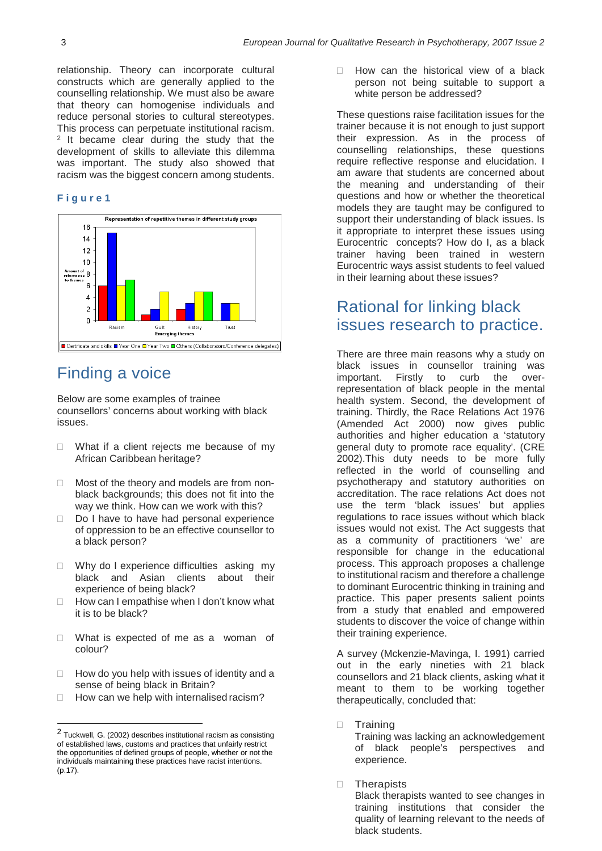relationship. Theory can incorporate cultural constructs which are generally applied to the counselling relationship. We must also be aware that theory can homogenise individuals and reduce personal stories to cultural stereotypes. This process can perpetuate institutional racism. <sup>2</sup> It became clear during the study that the development of skills to alleviate this dilemma was important. The study also showed that racism was the biggest concern among students.

#### **F i g u r e 1**



# Finding a voice

Below are some examples of trainee counsellors' concerns about working with black issues.

- $\Box$  What if a client rejects me because of my African Caribbean heritage?
- □ Most of the theory and models are from nonblack backgrounds; this does not fit into the way we think. How can we work with this?
- $\Box$  Do I have to have had personal experience of oppression to be an effective counsellor to a black person?
- $\Box$  Why do I experience difficulties asking my black and Asian clients about their experience of being black?
- $\Box$  How can I empathise when I don't know what it is to be black?
- □ What is expected of me as a woman of colour?
- $\Box$  How do you help with issues of identity and a sense of being black in Britain?
- $\Box$  How can we help with internalised racism?

 $\Box$  How can the historical view of a black person not being suitable to support a white person be addressed?

These questions raise facilitation issues for the trainer because it is not enough to just support their expression. As in the process of counselling relationships, these questions require reflective response and elucidation. I am aware that students are concerned about the meaning and understanding of their questions and how or whether the theoretical models they are taught may be configured to support their understanding of black issues. Is it appropriate to interpret these issues using Eurocentric concepts? How do I, as a black trainer having been trained in western Eurocentric ways assist students to feel valued in their learning about these issues?

# Rational for linking black issues research to practice.

There are three main reasons why a study on black issues in counsellor training was important. Firstly to curb the overrepresentation of black people in the mental health system. Second, the development of training. Thirdly, the Race Relations Act 1976 (Amended Act 2000) now gives public authorities and higher education a 'statutory general duty to promote race equality'. (CRE 2002).This duty needs to be more fully reflected in the world of counselling and psychotherapy and statutory authorities on accreditation. The race relations Act does not use the term 'black issues' but applies regulations to race issues without which black issues would not exist. The Act suggests that as a community of practitioners 'we' are responsible for change in the educational process. This approach proposes a challenge to institutional racism and therefore a challenge to dominant Eurocentric thinking in training and practice. This paper presents salient points from a study that enabled and empowered students to discover the voice of change within their training experience.

A survey (Mckenzie-Mavinga, I. 1991) carried out in the early nineties with 21 black counsellors and 21 black clients, asking what it meant to them to be working together therapeutically, concluded that:

**Training** 

Training was lacking an acknowledgement of black people's perspectives and experience.

**D** Therapists

Black therapists wanted to see changes in training institutions that consider the quality of learning relevant to the needs of black students.

<sup>2</sup> Tuckwell, G. (2002) describes institutional racism as consisting of established laws, customs and practices that unfairly restrict the opportunities of defined groups of people, whether or not the individuals maintaining these practices have racist intentions. (p.17).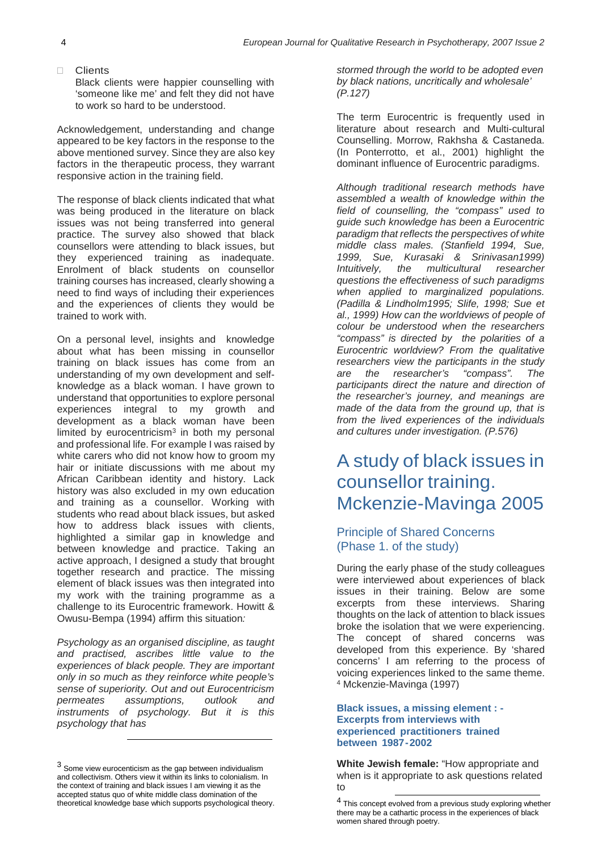Clients Black clients were happier counselling with 'someone like me' and felt they did not have to work so hard to be understood.

Acknowledgement, understanding and change appeared to be key factors in the response to the above mentioned survey. Since they are also key factors in the therapeutic process, they warrant responsive action in the training field.

The response of black clients indicated that what was being produced in the literature on black issues was not being transferred into general practice. The survey also showed that black counsellors were attending to black issues, but they experienced training as inadequate. Enrolment of black students on counsellor training courses has increased, clearly showing a need to find ways of including their experiences and the experiences of clients they would be trained to work with.

On a personal level, insights and knowledge about what has been missing in counsellor training on black issues has come from an understanding of my own development and selfknowledge as a black woman. I have grown to understand that opportunities to explore personal experiences integral to my growth and development as a black woman have been limited by eurocentricism $3$  in both my personal and professional life. For example I was raised by white carers who did not know how to groom my hair or initiate discussions with me about my African Caribbean identity and history. Lack history was also excluded in my own education and training as a counsellor. Working with students who read about black issues, but asked how to address black issues with clients, highlighted a similar gap in knowledge and between knowledge and practice. Taking an active approach, I designed a study that brought together research and practice. The missing element of black issues was then integrated into my work with the training programme as a challenge to its Eurocentric framework. Howitt & Owusu-Bempa (1994) affirm this situation*:*

*Psychology as an organised discipline, as taught and practised, ascribes little value to the experiences of black people. They are important only in so much as they reinforce white people's sense of superiority. Out and out Eurocentricism permeates assumptions, outlook and instruments of psychology. But it is this psychology that has*

*stormed through the world to be adopted even by black nations, uncritically and wholesale' (P.127)*

The term Eurocentric is frequently used in literature about research and Multi-cultural Counselling. Morrow, Rakhsha & Castaneda. (In Ponterrotto, et al., 2001) highlight the dominant influence of Eurocentric paradigms.

*Although traditional research methods have assembled a wealth of knowledge within the field of counselling, the "compass" used to guide such knowledge has been a Eurocentric paradigm that reflects the perspectives of white middle class males. (Stanfield 1994, Sue, 1999, Sue, Kurasaki & Srinivasan1999) Intuitively, the multicultural researcher questions the effectiveness of such paradigms when applied to marginalized populations. (Padilla & Lindholm1995; Slife, 1998; Sue et al., 1999) How can the worldviews of people of colour be understood when the researchers "compass" is directed by the polarities of a Eurocentric worldview? From the qualitative researchers view the participants in the study are the researcher's "compass". The participants direct the nature and direction of the researcher's journey, and meanings are made of the data from the ground up, that is from the lived experiences of the individuals and cultures under investigation. (P.576)*

# A study of black issues in counsellor training. Mckenzie-Mavinga 2005

## Principle of Shared Concerns (Phase 1. of the study)

During the early phase of the study colleagues were interviewed about experiences of black issues in their training. Below are some excerpts from these interviews. Sharing thoughts on the lack of attention to black issues broke the isolation that we were experiencing. The concept of shared concerns was developed from this experience. By 'shared concerns' I am referring to the process of voicing experiences linked to the same theme. <sup>4</sup> Mckenzie-Mavinga (1997)

#### **Black issues, a missing element : - Excerpts from interviews with experienced practitioners trained between 1987-2002**

**White Jewish female:** "How appropriate and when is it appropriate to ask questions related to

<sup>3</sup> Some view eurocenticism as the gap between individualism and collectivism. Others view it within its links to colonialism. In the context of training and black issues I am viewing it as the accepted status quo of white middle class domination of the theoretical knowledge base which supports psychological theory.

<sup>4</sup> This concept evolved from a previous study exploring whether there may be a cathartic process in the experiences of black women shared through poetry.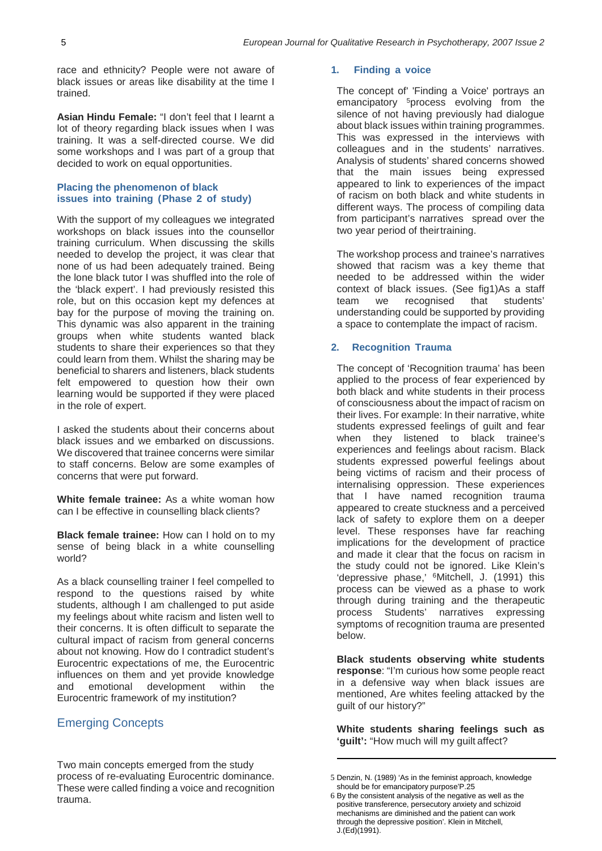race and ethnicity? People were not aware of black issues or areas like disability at the time I trained.

**Asian Hindu Female:** "I don't feel that I learnt a lot of theory regarding black issues when I was training. It was a self-directed course. We did some workshops and I was part of a group that decided to work on equal opportunities.

#### **Placing the phenomenon of black issues into training (Phase 2 of study)**

With the support of my colleagues we integrated workshops on black issues into the counsellor training curriculum. When discussing the skills needed to develop the project, it was clear that none of us had been adequately trained. Being the lone black tutor I was shuffled into the role of the 'black expert'. I had previously resisted this role, but on this occasion kept my defences at bay for the purpose of moving the training on. This dynamic was also apparent in the training groups when white students wanted black students to share their experiences so that they could learn from them. Whilst the sharing may be beneficial to sharers and listeners, black students felt empowered to question how their own learning would be supported if they were placed in the role of expert.

I asked the students about their concerns about black issues and we embarked on discussions. We discovered that trainee concerns were similar to staff concerns. Below are some examples of concerns that were put forward.

**White female trainee:** As a white woman how can I be effective in counselling black clients?

**Black female trainee:** How can I hold on to my sense of being black in a white counselling world?

As a black counselling trainer I feel compelled to respond to the questions raised by white students, although I am challenged to put aside my feelings about white racism and listen well to their concerns. It is often difficult to separate the cultural impact of racism from general concerns about not knowing. How do I contradict student's Eurocentric expectations of me, the Eurocentric influences on them and yet provide knowledge and emotional development within the Eurocentric framework of my institution?

## Emerging Concepts

Two main concepts emerged from the study process of re-evaluating Eurocentric dominance. These were called finding a voice and recognition trauma.

#### **1. Finding a voice**

The concept of' 'Finding a Voice' portrays an emancipatory 5process evolving from the silence of not having previously had dialogue about black issues within training programmes. This was expressed in the interviews with colleagues and in the students' narratives. Analysis of students' shared concerns showed that the main issues being expressed appeared to link to experiences of the impact of racism on both black and white students in different ways. The process of compiling data from participant's narratives spread over the two year period of theirtraining.

The workshop process and trainee's narratives showed that racism was a key theme that needed to be addressed within the wider context of black issues. (See fig1)As a staff team we recognised that students' understanding could be supported by providing a space to contemplate the impact of racism.

#### **2. Recognition Trauma**

The concept of 'Recognition trauma' has been applied to the process of fear experienced by both black and white students in their process of consciousness about the impact of racism on their lives. For example: In their narrative, white students expressed feelings of guilt and fear when they listened to black trainee's experiences and feelings about racism. Black students expressed powerful feelings about being victims of racism and their process of internalising oppression. These experiences that I have named recognition trauma appeared to create stuckness and a perceived lack of safety to explore them on a deeper level. These responses have far reaching implications for the development of practice and made it clear that the focus on racism in the study could not be ignored. Like Klein's 'depressive phase,' 6Mitchell, J. (1991) this process can be viewed as a phase to work through during training and the therapeutic process Students' narratives expressing symptoms of recognition trauma are presented below.

**Black students observing white students response**: "I'm curious how some people react in a defensive way when black issues are mentioned, Are whites feeling attacked by the guilt of our history?"

**White students sharing feelings such as 'guilt':** "How much will my guilt affect?

<sup>5</sup> Denzin, N. (1989) 'As in the feminist approach, knowledge should be for emancipatory purpose'P.25

<sup>6</sup> By the consistent analysis of the negative as well as the positive transference, persecutory anxiety and schizoid mechanisms are diminished and the patient can work through the depressive position'. Klein in Mitchell, J.(Ed)(1991).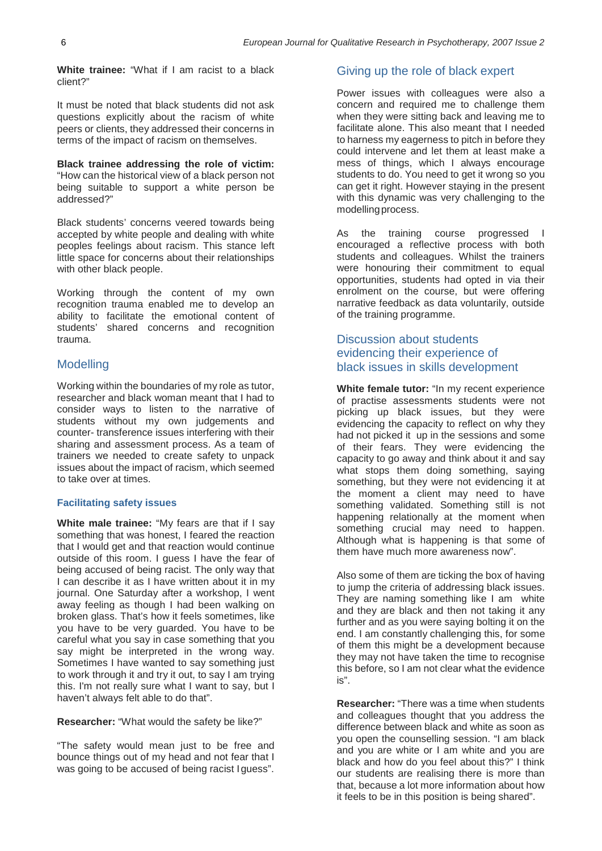**White trainee:** "What if I am racist to a black client?"

It must be noted that black students did not ask questions explicitly about the racism of white peers or clients, they addressed their concerns in terms of the impact of racism on themselves.

**Black trainee addressing the role of victim:**  "How can the historical view of a black person not being suitable to support a white person be addressed?"

Black students' concerns veered towards being accepted by white people and dealing with white peoples feelings about racism. This stance left little space for concerns about their relationships with other black people.

Working through the content of my own recognition trauma enabled me to develop an ability to facilitate the emotional content of students' shared concerns and recognition trauma.

### Modelling

Working within the boundaries of my role as tutor, researcher and black woman meant that I had to consider ways to listen to the narrative of students without my own judgements and counter- transference issues interfering with their sharing and assessment process. As a team of trainers we needed to create safety to unpack issues about the impact of racism, which seemed to take over at times.

#### **Facilitating safety issues**

**White male trainee:** "My fears are that if I say something that was honest, I feared the reaction that I would get and that reaction would continue outside of this room. I guess I have the fear of being accused of being racist. The only way that I can describe it as I have written about it in my journal. One Saturday after a workshop, I went away feeling as though I had been walking on broken glass. That's how it feels sometimes, like you have to be very guarded. You have to be careful what you say in case something that you say might be interpreted in the wrong way. Sometimes I have wanted to say something just to work through it and try it out, to say I am trying this. I'm not really sure what I want to say, but I haven't always felt able to do that".

#### **Researcher:** "What would the safety be like?"

"The safety would mean just to be free and bounce things out of my head and not fear that I was going to be accused of being racist Iguess".

### Giving up the role of black expert

Power issues with colleagues were also a concern and required me to challenge them when they were sitting back and leaving me to facilitate alone. This also meant that I needed to harness my eagerness to pitch in before they could intervene and let them at least make a mess of things, which I always encourage students to do. You need to get it wrong so you can get it right. However staying in the present with this dynamic was very challenging to the modellingprocess.

As the training course progressed I encouraged a reflective process with both students and colleagues. Whilst the trainers were honouring their commitment to equal opportunities, students had opted in via their enrolment on the course, but were offering narrative feedback as data voluntarily, outside of the training programme.

## Discussion about students evidencing their experience of black issues in skills development

**White female tutor:** "In my recent experience of practise assessments students were not picking up black issues, but they were evidencing the capacity to reflect on why they had not picked it up in the sessions and some of their fears. They were evidencing the capacity to go away and think about it and say what stops them doing something, saying something, but they were not evidencing it at the moment a client may need to have something validated. Something still is not happening relationally at the moment when something crucial may need to happen. Although what is happening is that some of them have much more awareness now".

Also some of them are ticking the box of having to jump the criteria of addressing black issues. They are naming something like I am white and they are black and then not taking it any further and as you were saying bolting it on the end. I am constantly challenging this, for some of them this might be a development because they may not have taken the time to recognise this before, so I am not clear what the evidence is".

**Researcher:** "There was a time when students and colleagues thought that you address the difference between black and white as soon as you open the counselling session. "I am black and you are white or I am white and you are black and how do you feel about this?" I think our students are realising there is more than that, because a lot more information about how it feels to be in this position is being shared".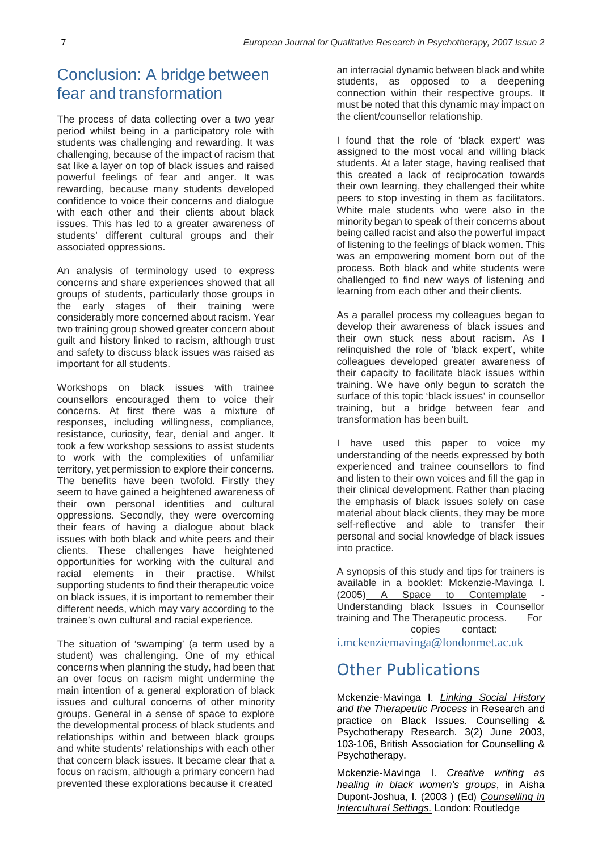# Conclusion: A bridge between fear and transformation

The process of data collecting over a two year period whilst being in a participatory role with students was challenging and rewarding. It was challenging, because of the impact of racism that sat like a layer on top of black issues and raised powerful feelings of fear and anger. It was rewarding, because many students developed confidence to voice their concerns and dialogue with each other and their clients about black issues. This has led to a greater awareness of students' different cultural groups and their associated oppressions.

An analysis of terminology used to express concerns and share experiences showed that all groups of students, particularly those groups in the early stages of their training were considerably more concerned about racism. Year two training group showed greater concern about guilt and history linked to racism, although trust and safety to discuss black issues was raised as important for all students.

Workshops on black issues with trainee counsellors encouraged them to voice their concerns. At first there was a mixture of responses, including willingness, compliance, resistance, curiosity, fear, denial and anger. It took a few workshop sessions to assist students to work with the complexities of unfamiliar territory, yet permission to explore their concerns. The benefits have been twofold. Firstly they seem to have gained a heightened awareness of their own personal identities and cultural oppressions. Secondly, they were overcoming their fears of having a dialogue about black issues with both black and white peers and their clients. These challenges have heightened opportunities for working with the cultural and racial elements in their practise. Whilst supporting students to find their therapeutic voice on black issues, it is important to remember their different needs, which may vary according to the trainee's own cultural and racial experience.

The situation of 'swamping' (a term used by a student) was challenging. One of my ethical concerns when planning the study, had been that an over focus on racism might undermine the main intention of a general exploration of black issues and cultural concerns of other minority groups. General in a sense of space to explore the developmental process of black students and relationships within and between black groups and white students' relationships with each other that concern black issues. It became clear that a focus on racism, although a primary concern had prevented these explorations because it created

an interracial dynamic between black and white students, as opposed to a deepening connection within their respective groups. It must be noted that this dynamic may impact on the client/counsellor relationship.

I found that the role of 'black expert' was assigned to the most vocal and willing black students. At a later stage, having realised that this created a lack of reciprocation towards their own learning, they challenged their white peers to stop investing in them as facilitators. White male students who were also in the minority began to speak of their concerns about being called racist and also the powerful impact of listening to the feelings of black women. This was an empowering moment born out of the process. Both black and white students were challenged to find new ways of listening and learning from each other and their clients.

As a parallel process my colleagues began to develop their awareness of black issues and their own stuck ness about racism. As I relinquished the role of 'black expert', white colleagues developed greater awareness of their capacity to facilitate black issues within training. We have only begun to scratch the surface of this topic 'black issues' in counsellor training, but a bridge between fear and transformation has been built.

I have used this paper to voice my understanding of the needs expressed by both experienced and trainee counsellors to find and listen to their own voices and fill the gap in their clinical development. Rather than placing the emphasis of black issues solely on case material about black clients, they may be more self-reflective and able to transfer their personal and social knowledge of black issues into practice.

A synopsis of this study and tips for trainers is available in a booklet: Mckenzie-Mavinga I.  $(2005)$  A Space to Contemplate Understanding black Issues in Counsellor training and The Therapeutic process. For copies contact[:](mailto:i.mckenziemavinga@londonmet.ac.uk)

[i.mckenziemavinga@londonmet.ac.uk](mailto:i.mckenziemavinga@londonmet.ac.uk)

# Other Publications

Mckenzie-Mavinga I. *Linking Social History and the Therapeutic Process* in Research and practice on Black Issues. Counselling & Psychotherapy Research. 3(2) June 2003, 103-106, British Association for Counselling & Psychotherapy.

Mckenzie-Mavinga I. *Creative writing as healing in black women's groups*, in Aisha Dupont-Joshua, I. (2003 ) (Ed) *Counselling in Intercultural Settings.* London: Routledge